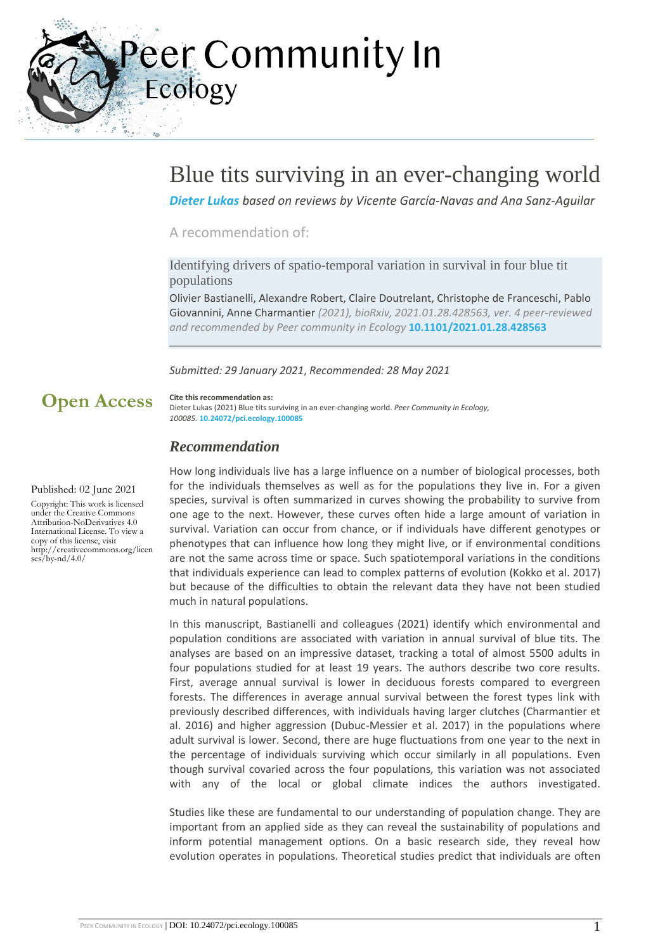eer Community In Ecology

## Blue tits surviving in an ever-changing world

*[Dieter Lukas](https://ecology.peercommunityin.org/public/user_public_page?userId=260) based on reviews by Vicente García-Navas and Ana Sanz-Aguilar*

#### A recommendation of:

Identifying drivers of spatio-temporal variation in survival in four blue tit populations

Olivier Bastianelli, Alexandre Robert, Claire Doutrelant, Christophe de Franceschi, Pablo Giovannini, Anne Charmantier *(2021), bioRxiv, 2021.01.28.428563, ver. 4 peer-reviewed and recommended by Peer community in Ecology* **[10.1101/2021.01.28.428563](https://doi.org/10.1101/2021.01.28.428563)**

#### *Submitted: 29 January 2021*, *Recommended: 28 May 2021*

## **Open Access**

**Cite this recommendation as:** Dieter Lukas (2021) Blue tits surviving in an ever-changing world. *Peer Community in Ecology, 100085.* **[10.24072/pci.ecology.100085](https://doi.org/10.24072/pci.ecology.100085)**

### *Recommendation*

Published: 02 June 2021

Copyright: This work is licensed under the Creative Commons Attribution-NoDerivatives 4.0 International License. To view a copy of this license, visit http://creativecommons.org/licen  $ses/bv-nd/4.0/$ 

How long individuals live has a large influence on a number of biological processes, both for the individuals themselves as well as for the populations they live in. For a given species, survival is often summarized in curves showing the probability to survive from one age to the next. However, these curves often hide a large amount of variation in survival. Variation can occur from chance, or if individuals have different genotypes or phenotypes that can influence how long they might live, or if environmental conditions are not the same across time or space. Such spatiotemporal variations in the conditions that individuals experience can lead to complex patterns of evolution (Kokko et al. 2017) but because of the difficulties to obtain the relevant data they have not been studied much in natural populations.

In this manuscript, Bastianelli and colleagues (2021) identify which environmental and population conditions are associated with variation in annual survival of blue tits. The analyses are based on an impressive dataset, tracking a total of almost 5500 adults in four populations studied for at least 19 years. The authors describe two core results. First, average annual survival is lower in deciduous forests compared to evergreen forests. The differences in average annual survival between the forest types link with previously described differences, with individuals having larger clutches (Charmantier et al. 2016) and higher aggression (Dubuc-Messier et al. 2017) in the populations where adult survival is lower. Second, there are huge fluctuations from one year to the next in the percentage of individuals surviving which occur similarly in all populations. Even though survival covaried across the four populations, this variation was not associated with any of the local or global climate indices the authors investigated.

Studies like these are fundamental to our understanding of population change. They are important from an applied side as they can reveal the sustainability of populations and inform potential management options. On a basic research side, they reveal how evolution operates in populations. Theoretical studies predict that individuals are often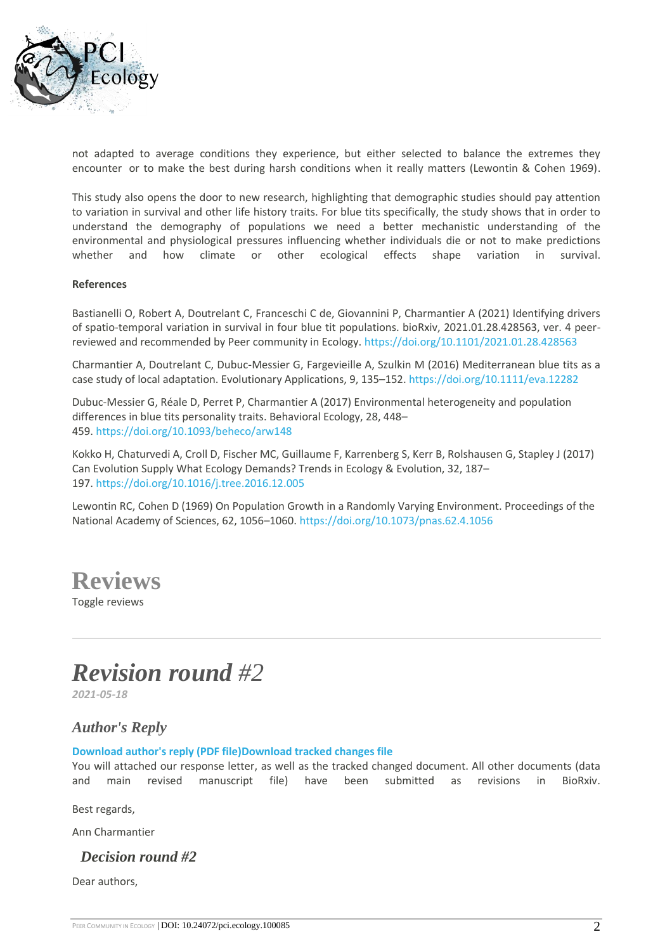

not adapted to average conditions they experience, but either selected to balance the extremes they encounter or to make the best during harsh conditions when it really matters (Lewontin & Cohen 1969).

This study also opens the door to new research, highlighting that demographic studies should pay attention to variation in survival and other life history traits. For blue tits specifically, the study shows that in order to understand the demography of populations we need a better mechanistic understanding of the environmental and physiological pressures influencing whether individuals die or not to make predictions whether and how climate or other ecological effects shape variation in survival.

#### **References**

Bastianelli O, Robert A, Doutrelant C, Franceschi C de, Giovannini P, Charmantier A (2021) Identifying drivers of spatio-temporal variation in survival in four blue tit populations. bioRxiv, 2021.01.28.428563, ver. 4 peerreviewed and recommended by Peer community in Ecology. <https://doi.org/10.1101/2021.01.28.428563>

Charmantier A, Doutrelant C, Dubuc-Messier G, Fargevieille A, Szulkin M (2016) Mediterranean blue tits as a case study of local adaptation. Evolutionary Applications, 9, 135–152. <https://doi.org/10.1111/eva.12282>

Dubuc-Messier G, Réale D, Perret P, Charmantier A (2017) Environmental heterogeneity and population differences in blue tits personality traits. Behavioral Ecology, 28, 448– 459. <https://doi.org/10.1093/beheco/arw148>

Kokko H, Chaturvedi A, Croll D, Fischer MC, Guillaume F, Karrenberg S, Kerr B, Rolshausen G, Stapley J (2017) Can Evolution Supply What Ecology Demands? Trends in Ecology & Evolution, 32, 187– 197. <https://doi.org/10.1016/j.tree.2016.12.005>

Lewontin RC, Cohen D (1969) On Population Growth in a Randomly Varying Environment. Proceedings of the National Academy of Sciences, 62, 1056–1060. <https://doi.org/10.1073/pnas.62.4.1056>

**Reviews**

Toggle reviews

# *Revision round #2*

*2021-05-18*

## *Author's Reply*

#### **[Download author's reply \(PDF file\)Download tracked changes file](https://ecology.peercommunityin.org/download/t_recommendations.reply_pdf.918a9fe4b3edf61b.323032312d30352d32312e417574686f72526573706f6e73654c6574746572322e706466.pdf)**

You will attached our response letter, as well as the tracked changed document. All other documents (data and main revised manuscript file) have been submitted as revisions in BioRxiv.

Best regards,

Ann Charmantier

*Decision round #2*

Dear authors,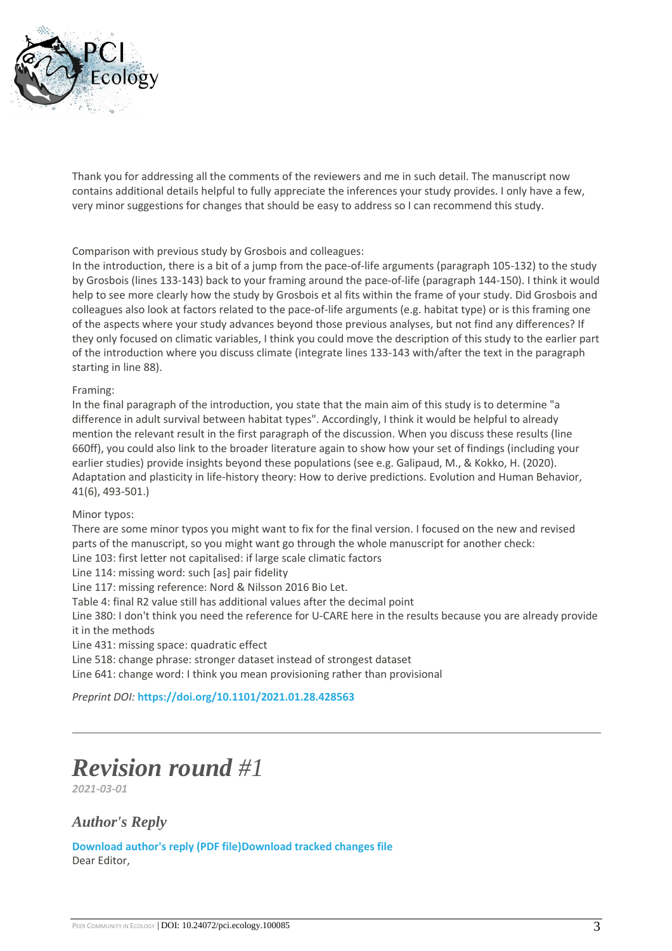

Thank you for addressing all the comments of the reviewers and me in such detail. The manuscript now contains additional details helpful to fully appreciate the inferences your study provides. I only have a few, very minor suggestions for changes that should be easy to address so I can recommend this study.

#### Comparison with previous study by Grosbois and colleagues:

In the introduction, there is a bit of a jump from the pace-of-life arguments (paragraph 105-132) to the study by Grosbois (lines 133-143) back to your framing around the pace-of-life (paragraph 144-150). I think it would help to see more clearly how the study by Grosbois et al fits within the frame of your study. Did Grosbois and colleagues also look at factors related to the pace-of-life arguments (e.g. habitat type) or is this framing one of the aspects where your study advances beyond those previous analyses, but not find any differences? If they only focused on climatic variables, I think you could move the description of this study to the earlier part of the introduction where you discuss climate (integrate lines 133-143 with/after the text in the paragraph starting in line 88).

#### Framing:

In the final paragraph of the introduction, you state that the main aim of this study is to determine "a difference in adult survival between habitat types". Accordingly, I think it would be helpful to already mention the relevant result in the first paragraph of the discussion. When you discuss these results (line 660ff), you could also link to the broader literature again to show how your set of findings (including your earlier studies) provide insights beyond these populations (see e.g. Galipaud, M., & Kokko, H. (2020). Adaptation and plasticity in life-history theory: How to derive predictions. Evolution and Human Behavior, 41(6), 493-501.)

#### Minor typos:

There are some minor typos you might want to fix for the final version. I focused on the new and revised parts of the manuscript, so you might want go through the whole manuscript for another check:

Line 103: first letter not capitalised: if large scale climatic factors

Line 114: missing word: such [as] pair fidelity

Line 117: missing reference: Nord & Nilsson 2016 Bio Let.

Table 4: final R2 value still has additional values after the decimal point

Line 380: I don't think you need the reference for U-CARE here in the results because you are already provide it in the methods

Line 431: missing space: quadratic effect

Line 518: change phrase: stronger dataset instead of strongest dataset

Line 641: change word: I think you mean provisioning rather than provisional

*Preprint DOI:* **<https://doi.org/10.1101/2021.01.28.428563>**

# *Revision round #1*

*2021-03-01*

### *Author's Reply*

**[Download author's reply \(PDF file\)Download tracked changes file](https://ecology.peercommunityin.org/download/t_recommendations.reply_pdf.95c2ecdbc78d5b77.323032312d30352d31302e417574686f72526573706f6e73654c65747465722e706466.pdf)** Dear Editor,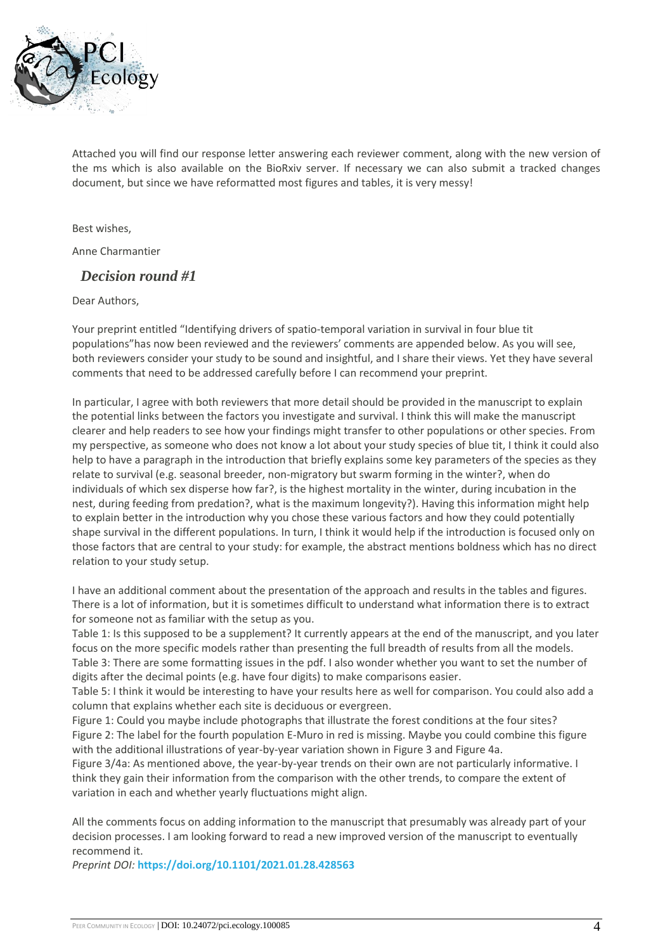

Attached you will find our response letter answering each reviewer comment, along with the new version of the ms which is also available on the BioRxiv server. If necessary we can also submit a tracked changes document, but since we have reformatted most figures and tables, it is very messy!

Best wishes,

Anne Charmantier

### *Decision round #1*

Dear Authors,

Your preprint entitled "Identifying drivers of spatio-temporal variation in survival in four blue tit populations"has now been reviewed and the reviewers' comments are appended below. As you will see, both reviewers consider your study to be sound and insightful, and I share their views. Yet they have several comments that need to be addressed carefully before I can recommend your preprint.

In particular, I agree with both reviewers that more detail should be provided in the manuscript to explain the potential links between the factors you investigate and survival. I think this will make the manuscript clearer and help readers to see how your findings might transfer to other populations or other species. From my perspective, as someone who does not know a lot about your study species of blue tit, I think it could also help to have a paragraph in the introduction that briefly explains some key parameters of the species as they relate to survival (e.g. seasonal breeder, non-migratory but swarm forming in the winter?, when do individuals of which sex disperse how far?, is the highest mortality in the winter, during incubation in the nest, during feeding from predation?, what is the maximum longevity?). Having this information might help to explain better in the introduction why you chose these various factors and how they could potentially shape survival in the different populations. In turn, I think it would help if the introduction is focused only on those factors that are central to your study: for example, the abstract mentions boldness which has no direct relation to your study setup.

I have an additional comment about the presentation of the approach and results in the tables and figures. There is a lot of information, but it is sometimes difficult to understand what information there is to extract for someone not as familiar with the setup as you.

Table 1: Is this supposed to be a supplement? It currently appears at the end of the manuscript, and you later focus on the more specific models rather than presenting the full breadth of results from all the models. Table 3: There are some formatting issues in the pdf. I also wonder whether you want to set the number of digits after the decimal points (e.g. have four digits) to make comparisons easier.

Table 5: I think it would be interesting to have your results here as well for comparison. You could also add a column that explains whether each site is deciduous or evergreen.

Figure 1: Could you maybe include photographs that illustrate the forest conditions at the four sites? Figure 2: The label for the fourth population E-Muro in red is missing. Maybe you could combine this figure with the additional illustrations of year-by-year variation shown in Figure 3 and Figure 4a.

Figure 3/4a: As mentioned above, the year-by-year trends on their own are not particularly informative. I think they gain their information from the comparison with the other trends, to compare the extent of variation in each and whether yearly fluctuations might align.

All the comments focus on adding information to the manuscript that presumably was already part of your decision processes. I am looking forward to read a new improved version of the manuscript to eventually recommend it.

*Preprint DOI:* **<https://doi.org/10.1101/2021.01.28.428563>**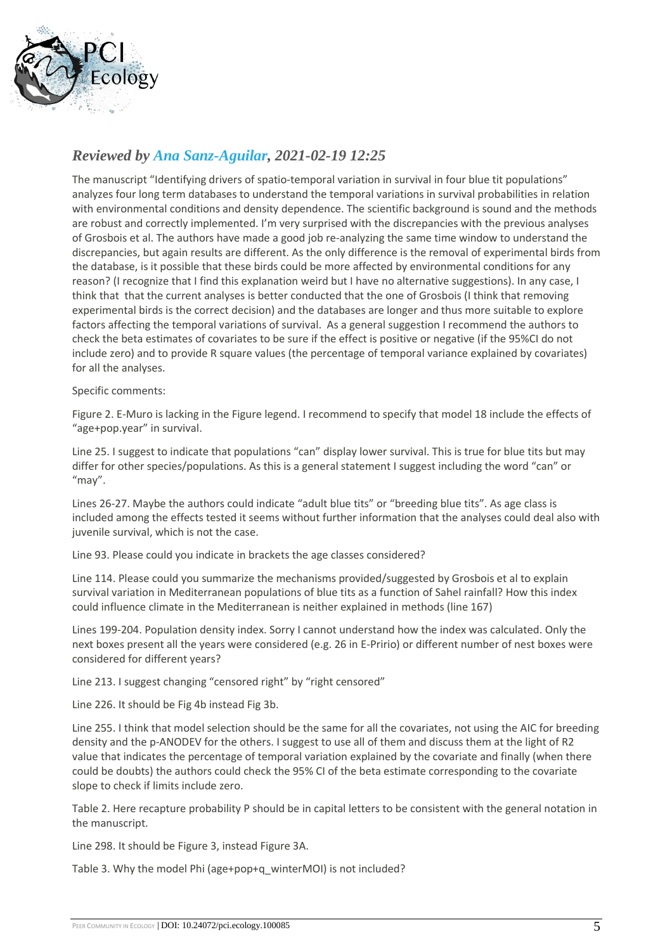

## *Reviewed by [Ana Sanz-Aguilar,](https://ecology.peercommunityin.org/public/user_public_page?userId=268) 2021-02-19 12:25*

The manuscript "Identifying drivers of spatio-temporal variation in survival in four blue tit populations" analyzes four long term databases to understand the temporal variations in survival probabilities in relation with environmental conditions and density dependence. The scientific background is sound and the methods are robust and correctly implemented. I'm very surprised with the discrepancies with the previous analyses of Grosbois et al. The authors have made a good job re-analyzing the same time window to understand the discrepancies, but again results are different. As the only difference is the removal of experimental birds from the database, is it possible that these birds could be more affected by environmental conditions for any reason? (I recognize that I find this explanation weird but I have no alternative suggestions). In any case, I think that that the current analyses is better conducted that the one of Grosbois (I think that removing experimental birds is the correct decision) and the databases are longer and thus more suitable to explore factors affecting the temporal variations of survival. As a general suggestion I recommend the authors to check the beta estimates of covariates to be sure if the effect is positive or negative (if the 95%CI do not include zero) and to provide R square values (the percentage of temporal variance explained by covariates) for all the analyses.

#### Specific comments:

Figure 2. E-Muro is lacking in the Figure legend. I recommend to specify that model 18 include the effects of "age+pop.year" in survival.

Line 25. I suggest to indicate that populations "can" display lower survival. This is true for blue tits but may differ for other species/populations. As this is a general statement I suggest including the word "can" or "may".

Lines 26-27. Maybe the authors could indicate "adult blue tits" or "breeding blue tits". As age class is included among the effects tested it seems without further information that the analyses could deal also with juvenile survival, which is not the case.

Line 93. Please could you indicate in brackets the age classes considered?

Line 114. Please could you summarize the mechanisms provided/suggested by Grosbois et al to explain survival variation in Mediterranean populations of blue tits as a function of Sahel rainfall? How this index could influence climate in the Mediterranean is neither explained in methods (line 167)

Lines 199-204. Population density index. Sorry I cannot understand how the index was calculated. Only the next boxes present all the years were considered (e.g. 26 in E-Pririo) or different number of nest boxes were considered for different years?

Line 213. I suggest changing "censored right" by "right censored"

Line 226. It should be Fig 4b instead Fig 3b.

Line 255. I think that model selection should be the same for all the covariates, not using the AIC for breeding density and the p-ANODEV for the others. I suggest to use all of them and discuss them at the light of R2 value that indicates the percentage of temporal variation explained by the covariate and finally (when there could be doubts) the authors could check the 95% CI of the beta estimate corresponding to the covariate slope to check if limits include zero.

Table 2. Here recapture probability P should be in capital letters to be consistent with the general notation in the manuscript.

Line 298. It should be Figure 3, instead Figure 3A.

Table 3. Why the model Phi (age+pop+q\_winterMOI) is not included?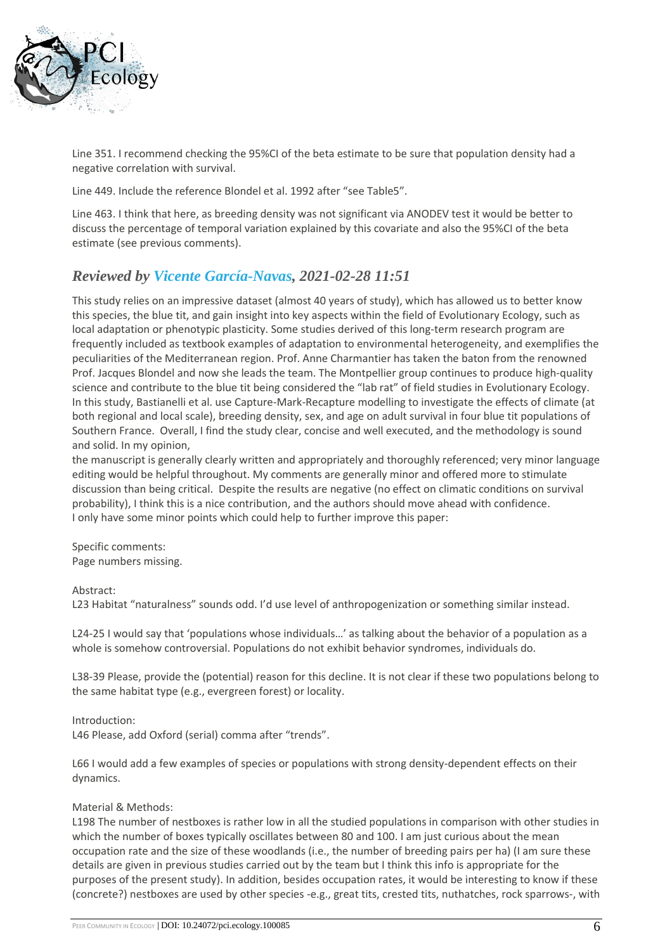

Line 351. I recommend checking the 95%CI of the beta estimate to be sure that population density had a negative correlation with survival.

Line 449. Include the reference Blondel et al. 1992 after "see Table5".

Line 463. I think that here, as breeding density was not significant via ANODEV test it would be better to discuss the percentage of temporal variation explained by this covariate and also the 95%CI of the beta estimate (see previous comments).

## *Reviewed by [Vicente García-Navas,](https://ecology.peercommunityin.org/public/user_public_page?userId=434) 2021-02-28 11:51*

This study relies on an impressive dataset (almost 40 years of study), which has allowed us to better know this species, the blue tit, and gain insight into key aspects within the field of Evolutionary Ecology, such as local adaptation or phenotypic plasticity. Some studies derived of this long-term research program are frequently included as textbook examples of adaptation to environmental heterogeneity, and exemplifies the peculiarities of the Mediterranean region. Prof. Anne Charmantier has taken the baton from the renowned Prof. Jacques Blondel and now she leads the team. The Montpellier group continues to produce high-quality science and contribute to the blue tit being considered the "lab rat" of field studies in Evolutionary Ecology. In this study, Bastianelli et al. use Capture-Mark-Recapture modelling to investigate the effects of climate (at both regional and local scale), breeding density, sex, and age on adult survival in four blue tit populations of Southern France. Overall, I find the study clear, concise and well executed, and the methodology is sound and solid. In my opinion,

the manuscript is generally clearly written and appropriately and thoroughly referenced; very minor language editing would be helpful throughout. My comments are generally minor and offered more to stimulate discussion than being critical. Despite the results are negative (no effect on climatic conditions on survival probability), I think this is a nice contribution, and the authors should move ahead with confidence. I only have some minor points which could help to further improve this paper:

Specific comments: Page numbers missing.

#### Abstract:

L23 Habitat "naturalness" sounds odd. I'd use level of anthropogenization or something similar instead.

L24-25 I would say that 'populations whose individuals…' as talking about the behavior of a population as a whole is somehow controversial. Populations do not exhibit behavior syndromes, individuals do.

L38-39 Please, provide the (potential) reason for this decline. It is not clear if these two populations belong to the same habitat type (e.g., evergreen forest) or locality.

Introduction:

L46 Please, add Oxford (serial) comma after "trends".

L66 I would add a few examples of species or populations with strong density-dependent effects on their dynamics.

#### Material & Methods:

L198 The number of nestboxes is rather low in all the studied populations in comparison with other studies in which the number of boxes typically oscillates between 80 and 100. I am just curious about the mean occupation rate and the size of these woodlands (i.e., the number of breeding pairs per ha) (I am sure these details are given in previous studies carried out by the team but I think this info is appropriate for the purposes of the present study). In addition, besides occupation rates, it would be interesting to know if these (concrete?) nestboxes are used by other species -e.g., great tits, crested tits, nuthatches, rock sparrows-, with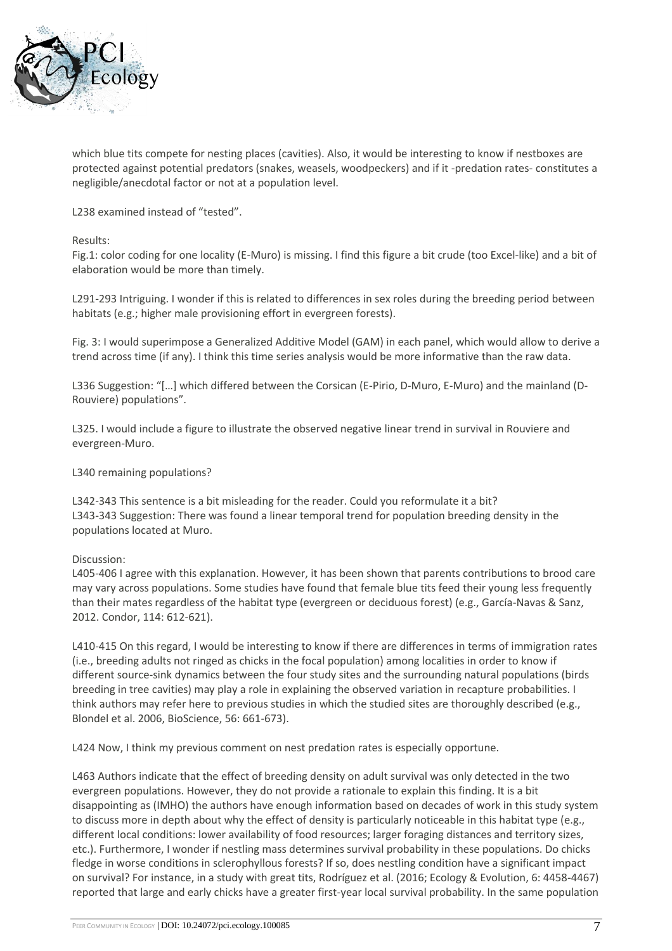

which blue tits compete for nesting places (cavities). Also, it would be interesting to know if nestboxes are protected against potential predators (snakes, weasels, woodpeckers) and if it -predation rates- constitutes a negligible/anecdotal factor or not at a population level.

L238 examined instead of "tested".

Results:

Fig.1: color coding for one locality (E-Muro) is missing. I find this figure a bit crude (too Excel-like) and a bit of elaboration would be more than timely.

L291-293 Intriguing. I wonder if this is related to differences in sex roles during the breeding period between habitats (e.g.; higher male provisioning effort in evergreen forests).

Fig. 3: I would superimpose a Generalized Additive Model (GAM) in each panel, which would allow to derive a trend across time (if any). I think this time series analysis would be more informative than the raw data.

L336 Suggestion: "[…] which differed between the Corsican (E-Pirio, D-Muro, E-Muro) and the mainland (D-Rouviere) populations".

L325. I would include a figure to illustrate the observed negative linear trend in survival in Rouviere and evergreen-Muro.

L340 remaining populations?

L342-343 This sentence is a bit misleading for the reader. Could you reformulate it a bit? L343-343 Suggestion: There was found a linear temporal trend for population breeding density in the populations located at Muro.

Discussion:

L405-406 I agree with this explanation. However, it has been shown that parents contributions to brood care may vary across populations. Some studies have found that female blue tits feed their young less frequently than their mates regardless of the habitat type (evergreen or deciduous forest) (e.g., García-Navas & Sanz, 2012. Condor, 114: 612-621).

L410-415 On this regard, I would be interesting to know if there are differences in terms of immigration rates (i.e., breeding adults not ringed as chicks in the focal population) among localities in order to know if different source-sink dynamics between the four study sites and the surrounding natural populations (birds breeding in tree cavities) may play a role in explaining the observed variation in recapture probabilities. I think authors may refer here to previous studies in which the studied sites are thoroughly described (e.g., Blondel et al. 2006, BioScience, 56: 661-673).

L424 Now, I think my previous comment on nest predation rates is especially opportune.

L463 Authors indicate that the effect of breeding density on adult survival was only detected in the two evergreen populations. However, they do not provide a rationale to explain this finding. It is a bit disappointing as (IMHO) the authors have enough information based on decades of work in this study system to discuss more in depth about why the effect of density is particularly noticeable in this habitat type (e.g., different local conditions: lower availability of food resources; larger foraging distances and territory sizes, etc.). Furthermore, I wonder if nestling mass determines survival probability in these populations. Do chicks fledge in worse conditions in sclerophyllous forests? If so, does nestling condition have a significant impact on survival? For instance, in a study with great tits, Rodríguez et al. (2016; Ecology & Evolution, 6: 4458-4467) reported that large and early chicks have a greater first-year local survival probability. In the same population